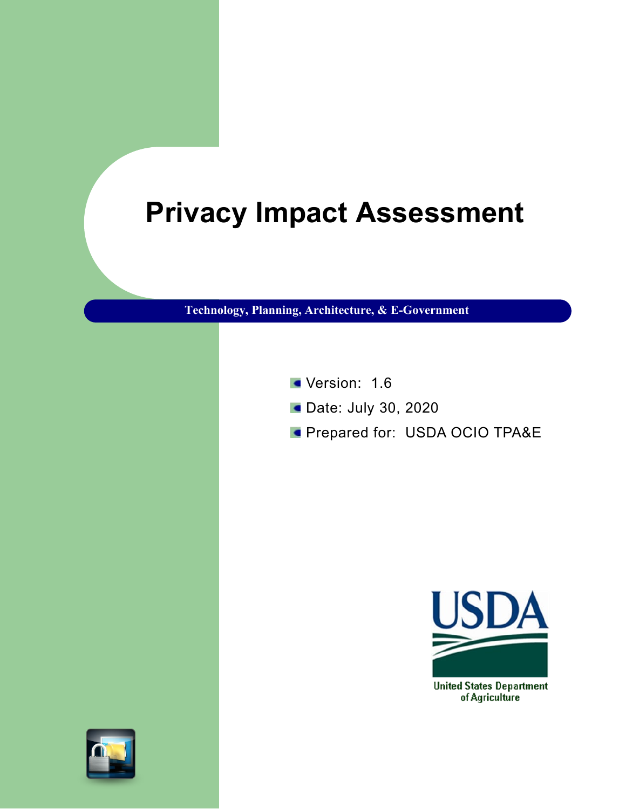# **Privacy Impact Assessment**

**Technology, Planning, Architecture, & E-Government**

- Version: 1.6
- **Date: July 30, 2020**
- **Prepared for: USDA OCIO TPA&E**



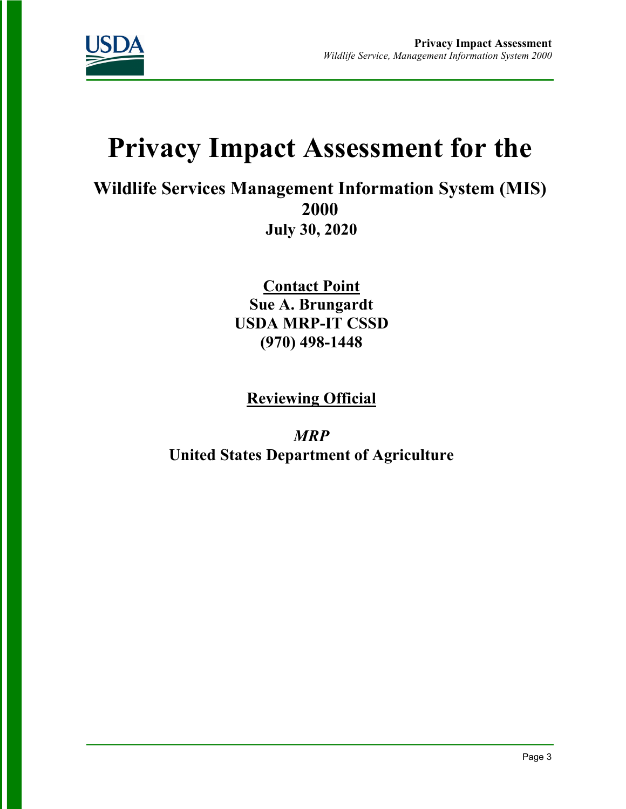

# **Privacy Impact Assessment for the**

**Wildlife Services Management Information System (MIS) 2000 July 30, 2020**

> **Contact Point Sue A. Brungardt USDA MRP-IT CSSD (970) 498-1448**

**Reviewing Official** 

*MRP* **United States Department of Agriculture**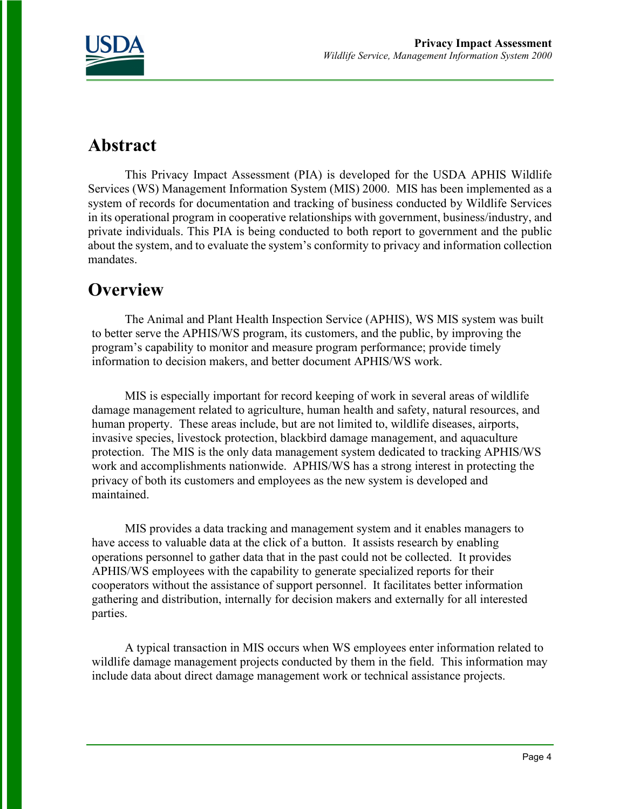

### **Abstract**

This Privacy Impact Assessment (PIA) is developed for the USDA APHIS Wildlife Services (WS) Management Information System (MIS) 2000. MIS has been implemented as a system of records for documentation and tracking of business conducted by Wildlife Services in its operational program in cooperative relationships with government, business/industry, and private individuals. This PIA is being conducted to both report to government and the public about the system, and to evaluate the system's conformity to privacy and information collection mandates.

### **Overview**

The Animal and Plant Health Inspection Service (APHIS), WS MIS system was built to better serve the APHIS/WS program, its customers, and the public, by improving the program's capability to monitor and measure program performance; provide timely information to decision makers, and better document APHIS/WS work.

MIS is especially important for record keeping of work in several areas of wildlife damage management related to agriculture, human health and safety, natural resources, and human property. These areas include, but are not limited to, wildlife diseases, airports, invasive species, livestock protection, blackbird damage management, and aquaculture protection. The MIS is the only data management system dedicated to tracking APHIS/WS work and accomplishments nationwide. APHIS/WS has a strong interest in protecting the privacy of both its customers and employees as the new system is developed and maintained.

MIS provides a data tracking and management system and it enables managers to have access to valuable data at the click of a button. It assists research by enabling operations personnel to gather data that in the past could not be collected. It provides APHIS/WS employees with the capability to generate specialized reports for their cooperators without the assistance of support personnel. It facilitates better information gathering and distribution, internally for decision makers and externally for all interested parties.

A typical transaction in MIS occurs when WS employees enter information related to wildlife damage management projects conducted by them in the field. This information may include data about direct damage management work or technical assistance projects.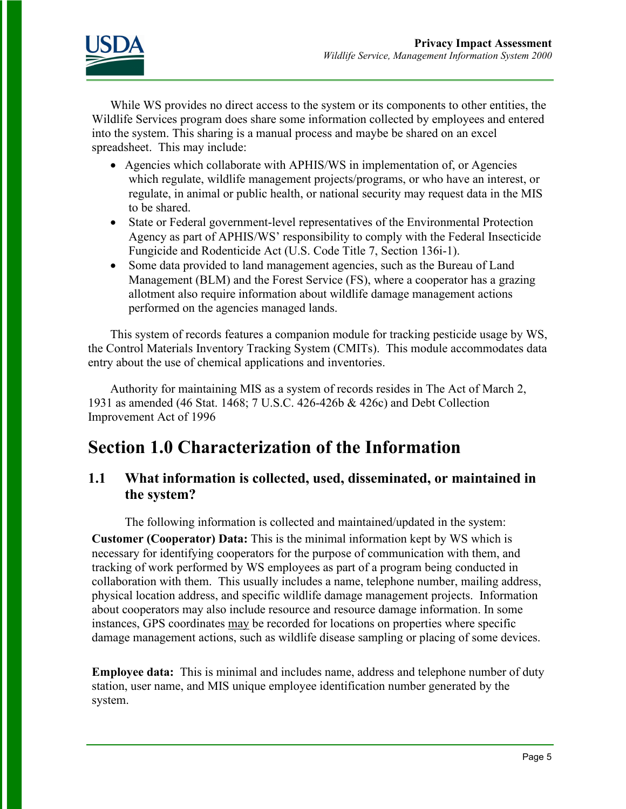

While WS provides no direct access to the system or its components to other entities, the Wildlife Services program does share some information collected by employees and entered into the system. This sharing is a manual process and maybe be shared on an excel spreadsheet. This may include:

- Agencies which collaborate with APHIS/WS in implementation of, or Agencies which regulate, wildlife management projects/programs, or who have an interest, or regulate, in animal or public health, or national security may request data in the MIS to be shared.
- State or Federal government-level representatives of the Environmental Protection Agency as part of APHIS/WS' responsibility to comply with the Federal Insecticide Fungicide and Rodenticide Act (U.S. Code Title 7, Section 136i-1).
- Some data provided to land management agencies, such as the Bureau of Land Management (BLM) and the Forest Service (FS), where a cooperator has a grazing allotment also require information about wildlife damage management actions performed on the agencies managed lands.

This system of records features a companion module for tracking pesticide usage by WS, the Control Materials Inventory Tracking System (CMITs). This module accommodates data entry about the use of chemical applications and inventories.

Authority for maintaining MIS as a system of records resides in The Act of March 2, 1931 as amended (46 Stat. 1468; 7 U.S.C. 426-426b & 426c) and Debt Collection Improvement Act of 1996

### **Section 1.0 Characterization of the Information**

### **1.1 What information is collected, used, disseminated, or maintained in the system?**

The following information is collected and maintained/updated in the system:

**Customer (Cooperator) Data:** This is the minimal information kept by WS which is necessary for identifying cooperators for the purpose of communication with them, and tracking of work performed by WS employees as part of a program being conducted in collaboration with them. This usually includes a name, telephone number, mailing address, physical location address, and specific wildlife damage management projects. Information about cooperators may also include resource and resource damage information. In some instances, GPS coordinates may be recorded for locations on properties where specific damage management actions, such as wildlife disease sampling or placing of some devices.

**Employee data:** This is minimal and includes name, address and telephone number of duty station, user name, and MIS unique employee identification number generated by the system.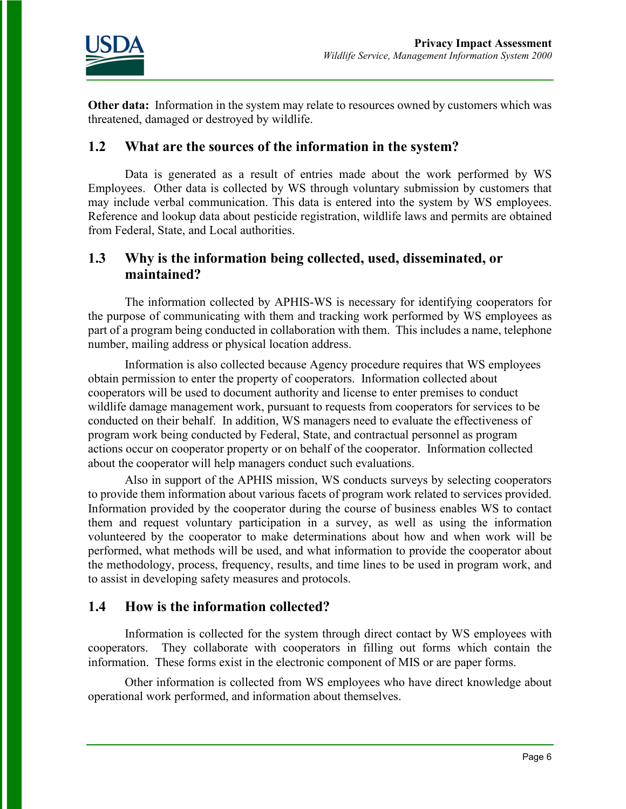

**Other data:** Information in the system may relate to resources owned by customers which was threatened, damaged or destroyed by wildlife.

#### **1.2 What are the sources of the information in the system?**

Data is generated as a result of entries made about the work performed by WS Employees. Other data is collected by WS through voluntary submission by customers that may include verbal communication. This data is entered into the system by WS employees. Reference and lookup data about pesticide registration, wildlife laws and permits are obtained from Federal, State, and Local authorities.

### **1.3 Why is the information being collected, used, disseminated, or maintained?**

The information collected by APHIS-WS is necessary for identifying cooperators for the purpose of communicating with them and tracking work performed by WS employees as part of a program being conducted in collaboration with them. This includes a name, telephone number, mailing address or physical location address.

Information is also collected because Agency procedure requires that WS employees obtain permission to enter the property of cooperators. Information collected about cooperators will be used to document authority and license to enter premises to conduct wildlife damage management work, pursuant to requests from cooperators for services to be conducted on their behalf. In addition, WS managers need to evaluate the effectiveness of program work being conducted by Federal, State, and contractual personnel as program actions occur on cooperator property or on behalf of the cooperator. Information collected about the cooperator will help managers conduct such evaluations.

Also in support of the APHIS mission, WS conducts surveys by selecting cooperators to provide them information about various facets of program work related to services provided. Information provided by the cooperator during the course of business enables WS to contact them and request voluntary participation in a survey, as well as using the information volunteered by the cooperator to make determinations about how and when work will be performed, what methods will be used, and what information to provide the cooperator about the methodology, process, frequency, results, and time lines to be used in program work, and to assist in developing safety measures and protocols.

### **1.4 How is the information collected?**

Information is collected for the system through direct contact by WS employees with cooperators. They collaborate with cooperators in filling out forms which contain the information. These forms exist in the electronic component of MIS or are paper forms.

Other information is collected from WS employees who have direct knowledge about operational work performed, and information about themselves.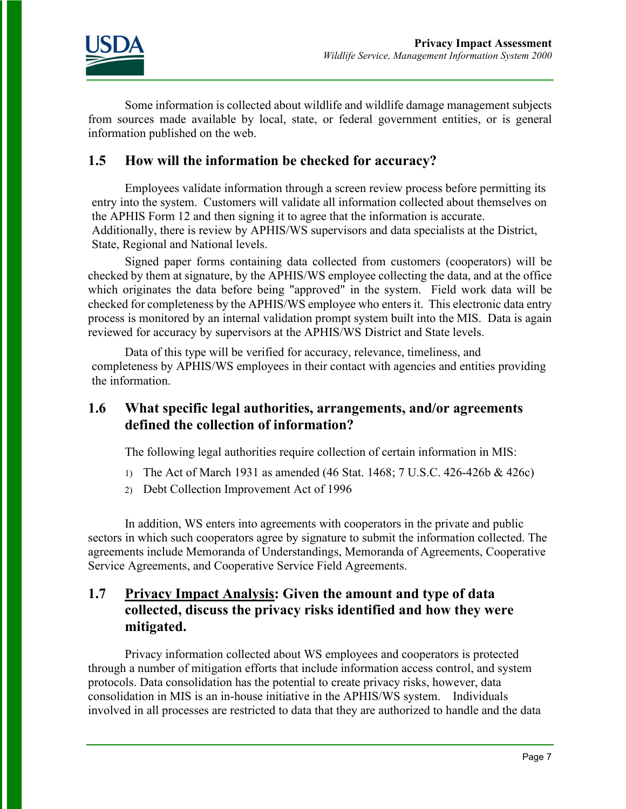

Some information is collected about wildlife and wildlife damage management subjects from sources made available by local, state, or federal government entities, or is general information published on the web.

### **1.5 How will the information be checked for accuracy?**

Employees validate information through a screen review process before permitting its entry into the system. Customers will validate all information collected about themselves on the APHIS Form 12 and then signing it to agree that the information is accurate. Additionally, there is review by APHIS/WS supervisors and data specialists at the District, State, Regional and National levels.

Signed paper forms containing data collected from customers (cooperators) will be checked by them at signature, by the APHIS/WS employee collecting the data, and at the office which originates the data before being "approved" in the system. Field work data will be checked for completeness by the APHIS/WS employee who enters it. This electronic data entry process is monitored by an internal validation prompt system built into the MIS. Data is again reviewed for accuracy by supervisors at the APHIS/WS District and State levels.

Data of this type will be verified for accuracy, relevance, timeliness, and completeness by APHIS/WS employees in their contact with agencies and entities providing the information.

### **1.6 What specific legal authorities, arrangements, and/or agreements defined the collection of information?**

The following legal authorities require collection of certain information in MIS:

- 1) The Act of March 1931 as amended (46 Stat. 1468; 7 U.S.C. 426-426b & 426c)
- 2) Debt Collection Improvement Act of 1996

In addition, WS enters into agreements with cooperators in the private and public sectors in which such cooperators agree by signature to submit the information collected. The agreements include Memoranda of Understandings, Memoranda of Agreements, Cooperative Service Agreements, and Cooperative Service Field Agreements.

### **1.7 Privacy Impact Analysis: Given the amount and type of data collected, discuss the privacy risks identified and how they were mitigated.**

Privacy information collected about WS employees and cooperators is protected through a number of mitigation efforts that include information access control, and system protocols. Data consolidation has the potential to create privacy risks, however, data consolidation in MIS is an in-house initiative in the APHIS/WS system. Individuals involved in all processes are restricted to data that they are authorized to handle and the data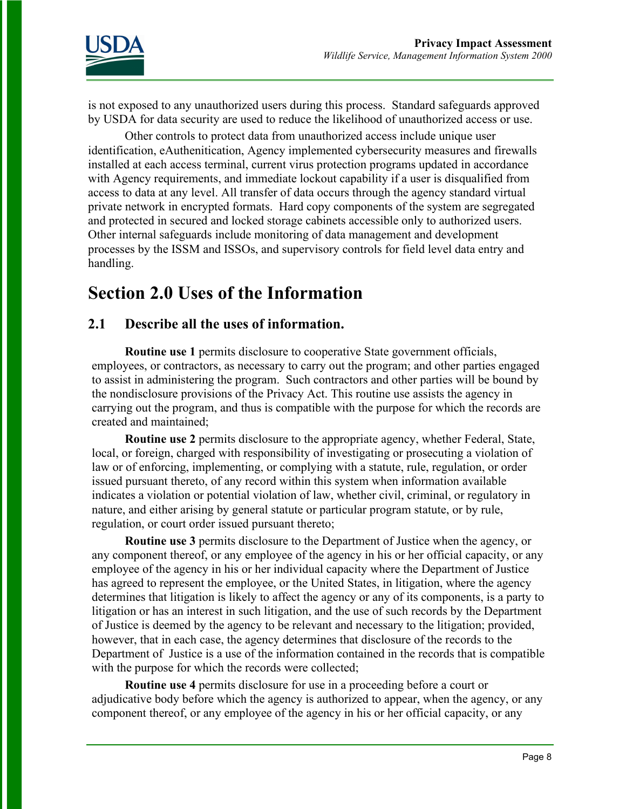

is not exposed to any unauthorized users during this process. Standard safeguards approved by USDA for data security are used to reduce the likelihood of unauthorized access or use.

Other controls to protect data from unauthorized access include unique user identification, eAuthenitication, Agency implemented cybersecurity measures and firewalls installed at each access terminal, current virus protection programs updated in accordance with Agency requirements, and immediate lockout capability if a user is disqualified from access to data at any level. All transfer of data occurs through the agency standard virtual private network in encrypted formats. Hard copy components of the system are segregated and protected in secured and locked storage cabinets accessible only to authorized users. Other internal safeguards include monitoring of data management and development processes by the ISSM and ISSOs, and supervisory controls for field level data entry and handling.

### **Section 2.0 Uses of the Information**

### **2.1 Describe all the uses of information.**

**Routine use 1** permits disclosure to cooperative State government officials, employees, or contractors, as necessary to carry out the program; and other parties engaged to assist in administering the program. Such contractors and other parties will be bound by the nondisclosure provisions of the Privacy Act. This routine use assists the agency in carrying out the program, and thus is compatible with the purpose for which the records are created and maintained;

**Routine use 2** permits disclosure to the appropriate agency, whether Federal, State, local, or foreign, charged with responsibility of investigating or prosecuting a violation of law or of enforcing, implementing, or complying with a statute, rule, regulation, or order issued pursuant thereto, of any record within this system when information available indicates a violation or potential violation of law, whether civil, criminal, or regulatory in nature, and either arising by general statute or particular program statute, or by rule, regulation, or court order issued pursuant thereto;

**Routine use 3** permits disclosure to the Department of Justice when the agency, or any component thereof, or any employee of the agency in his or her official capacity, or any employee of the agency in his or her individual capacity where the Department of Justice has agreed to represent the employee, or the United States, in litigation, where the agency determines that litigation is likely to affect the agency or any of its components, is a party to litigation or has an interest in such litigation, and the use of such records by the Department of Justice is deemed by the agency to be relevant and necessary to the litigation; provided, however, that in each case, the agency determines that disclosure of the records to the Department of Justice is a use of the information contained in the records that is compatible with the purpose for which the records were collected;

**Routine use 4** permits disclosure for use in a proceeding before a court or adjudicative body before which the agency is authorized to appear, when the agency, or any component thereof, or any employee of the agency in his or her official capacity, or any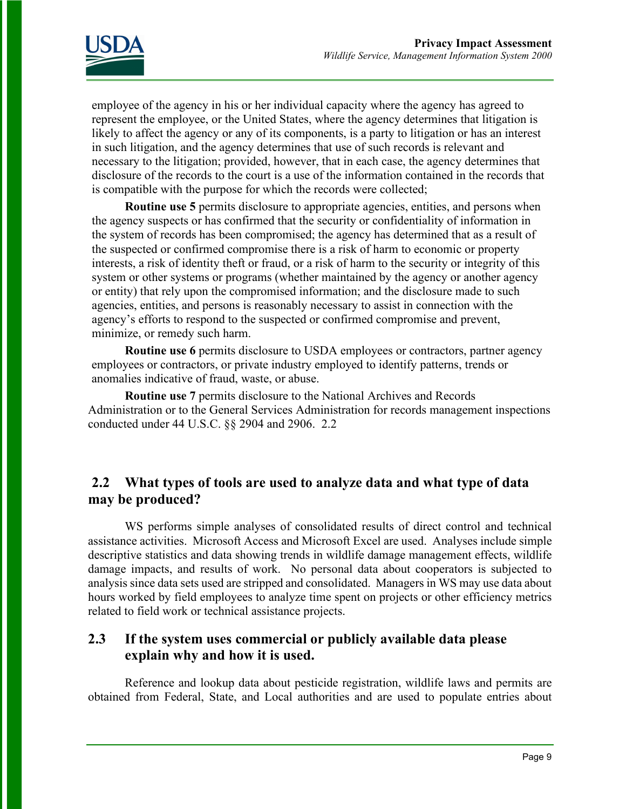

employee of the agency in his or her individual capacity where the agency has agreed to represent the employee, or the United States, where the agency determines that litigation is likely to affect the agency or any of its components, is a party to litigation or has an interest in such litigation, and the agency determines that use of such records is relevant and necessary to the litigation; provided, however, that in each case, the agency determines that disclosure of the records to the court is a use of the information contained in the records that is compatible with the purpose for which the records were collected;

**Routine use 5** permits disclosure to appropriate agencies, entities, and persons when the agency suspects or has confirmed that the security or confidentiality of information in the system of records has been compromised; the agency has determined that as a result of the suspected or confirmed compromise there is a risk of harm to economic or property interests, a risk of identity theft or fraud, or a risk of harm to the security or integrity of this system or other systems or programs (whether maintained by the agency or another agency or entity) that rely upon the compromised information; and the disclosure made to such agencies, entities, and persons is reasonably necessary to assist in connection with the agency's efforts to respond to the suspected or confirmed compromise and prevent, minimize, or remedy such harm.

**Routine use 6** permits disclosure to USDA employees or contractors, partner agency employees or contractors, or private industry employed to identify patterns, trends or anomalies indicative of fraud, waste, or abuse.

**Routine use 7** permits disclosure to the National Archives and Records Administration or to the General Services Administration for records management inspections conducted under 44 U.S.C. §§ 2904 and 2906. 2.2

### **2.2 What types of tools are used to analyze data and what type of data may be produced?**

WS performs simple analyses of consolidated results of direct control and technical assistance activities. Microsoft Access and Microsoft Excel are used. Analyses include simple descriptive statistics and data showing trends in wildlife damage management effects, wildlife damage impacts, and results of work. No personal data about cooperators is subjected to analysis since data sets used are stripped and consolidated. Managers in WS may use data about hours worked by field employees to analyze time spent on projects or other efficiency metrics related to field work or technical assistance projects.

### **2.3 If the system uses commercial or publicly available data please explain why and how it is used.**

Reference and lookup data about pesticide registration, wildlife laws and permits are obtained from Federal, State, and Local authorities and are used to populate entries about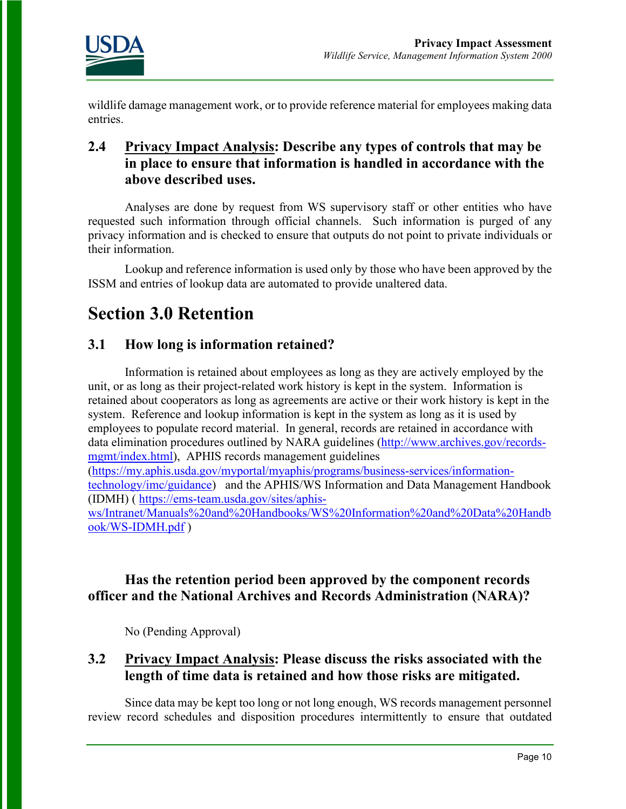

wildlife damage management work, or to provide reference material for employees making data entries.

### **2.4 Privacy Impact Analysis: Describe any types of controls that may be in place to ensure that information is handled in accordance with the above described uses.**

Analyses are done by request from WS supervisory staff or other entities who have requested such information through official channels. Such information is purged of any privacy information and is checked to ensure that outputs do not point to private individuals or their information.

Lookup and reference information is used only by those who have been approved by the ISSM and entries of lookup data are automated to provide unaltered data.

# **Section 3.0 Retention**

### **3.1 How long is information retained?**

Information is retained about employees as long as they are actively employed by the unit, or as long as their project-related work history is kept in the system. Information is retained about cooperators as long as agreements are active or their work history is kept in the system. Reference and lookup information is kept in the system as long as it is used by employees to populate record material. In general, records are retained in accordance with data elimination procedures outlined by NARA guidelines [\(http://www.archives.gov/records](http://www.archives.gov/records-mgmt/index.html)[mgmt/index.html\)](http://www.archives.gov/records-mgmt/index.html), APHIS records management guidelines [\(https://my.aphis.usda.gov/myportal/myaphis/programs/business-services/information](https://my.aphis.usda.gov/myportal/myaphis/programs/business-services/information-technology/imc/guidance)[technology/imc/guidance\)](https://my.aphis.usda.gov/myportal/myaphis/programs/business-services/information-technology/imc/guidance) and the APHIS/WS Information and Data Management Handbook (IDMH) ( [https://ems-team.usda.gov/sites/aphis](https://ems-team.usda.gov/sites/aphis-ws/Intranet/Manuals%20and%20Handbooks/WS%20Information%20and%20Data%20Handbook/WS-IDMH.pdf)[ws/Intranet/Manuals%20and%20Handbooks/WS%20Information%20and%20Data%20Handb](https://ems-team.usda.gov/sites/aphis-ws/Intranet/Manuals%20and%20Handbooks/WS%20Information%20and%20Data%20Handbook/WS-IDMH.pdf) [ook/WS-IDMH.pdf](https://ems-team.usda.gov/sites/aphis-ws/Intranet/Manuals%20and%20Handbooks/WS%20Information%20and%20Data%20Handbook/WS-IDMH.pdf) )

### **Has the retention period been approved by the component records officer and the National Archives and Records Administration (NARA)?**

No (Pending Approval)

### **3.2 Privacy Impact Analysis: Please discuss the risks associated with the length of time data is retained and how those risks are mitigated.**

Since data may be kept too long or not long enough, WS records management personnel review record schedules and disposition procedures intermittently to ensure that outdated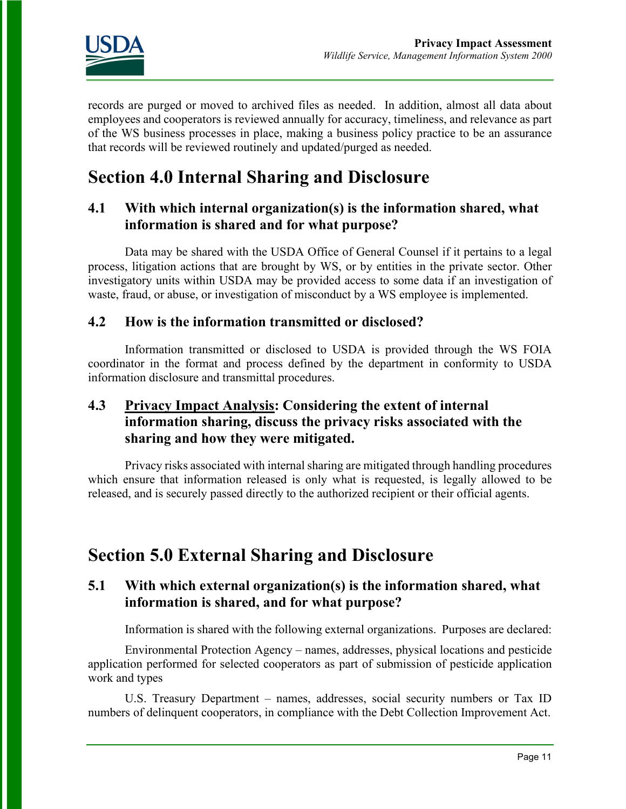

records are purged or moved to archived files as needed. In addition, almost all data about employees and cooperators is reviewed annually for accuracy, timeliness, and relevance as part of the WS business processes in place, making a business policy practice to be an assurance that records will be reviewed routinely and updated/purged as needed.

# **Section 4.0 Internal Sharing and Disclosure**

### **4.1 With which internal organization(s) is the information shared, what information is shared and for what purpose?**

Data may be shared with the USDA Office of General Counsel if it pertains to a legal process, litigation actions that are brought by WS, or by entities in the private sector. Other investigatory units within USDA may be provided access to some data if an investigation of waste, fraud, or abuse, or investigation of misconduct by a WS employee is implemented.

#### **4.2 How is the information transmitted or disclosed?**

Information transmitted or disclosed to USDA is provided through the WS FOIA coordinator in the format and process defined by the department in conformity to USDA information disclosure and transmittal procedures.

### **4.3 Privacy Impact Analysis: Considering the extent of internal information sharing, discuss the privacy risks associated with the sharing and how they were mitigated.**

Privacy risks associated with internal sharing are mitigated through handling procedures which ensure that information released is only what is requested, is legally allowed to be released, and is securely passed directly to the authorized recipient or their official agents.

### **Section 5.0 External Sharing and Disclosure**

### **5.1 With which external organization(s) is the information shared, what information is shared, and for what purpose?**

Information is shared with the following external organizations. Purposes are declared:

Environmental Protection Agency – names, addresses, physical locations and pesticide application performed for selected cooperators as part of submission of pesticide application work and types

U.S. Treasury Department – names, addresses, social security numbers or Tax ID numbers of delinquent cooperators, in compliance with the Debt Collection Improvement Act.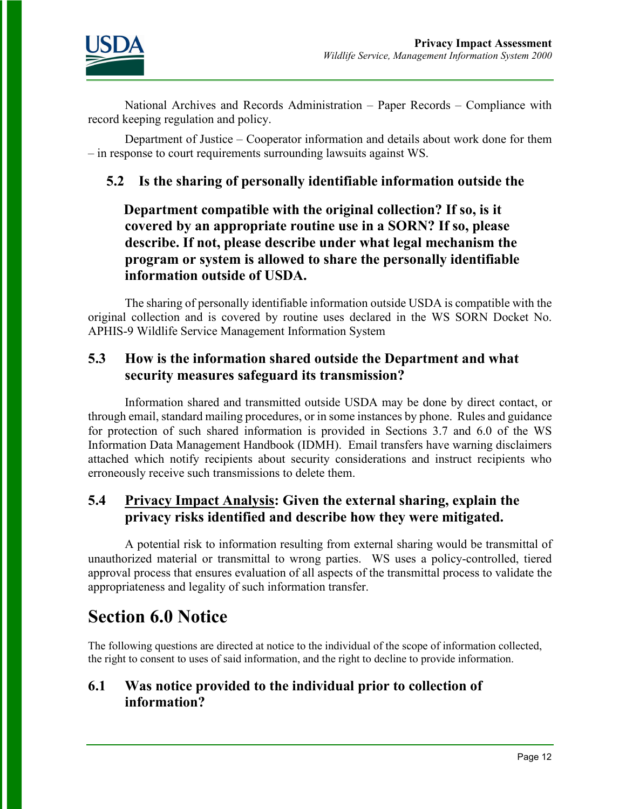

National Archives and Records Administration – Paper Records – Compliance with record keeping regulation and policy.

Department of Justice – Cooperator information and details about work done for them – in response to court requirements surrounding lawsuits against WS.

### **5.2 Is the sharing of personally identifiable information outside the**

 **Department compatible with the original collection? If so, is it covered by an appropriate routine use in a SORN? If so, please describe. If not, please describe under what legal mechanism the program or system is allowed to share the personally identifiable information outside of USDA.** 

The sharing of personally identifiable information outside USDA is compatible with the original collection and is covered by routine uses declared in the WS SORN Docket No. APHIS-9 Wildlife Service Management Information System

### **5.3 How is the information shared outside the Department and what security measures safeguard its transmission?**

Information shared and transmitted outside USDA may be done by direct contact, or through email, standard mailing procedures, or in some instances by phone. Rules and guidance for protection of such shared information is provided in Sections 3.7 and 6.0 of the [WS](http://inside.aphis.usda.gov/ws/downloads/WS-IDMH_Revision_Four_FinalDraft_Oct2012.pdf) [Information Data Management Ha](http://inside.aphis.usda.gov/ws/downloads/WS-IDMH_Revision_Four_FinalDraft_Oct2012.pdf)ndbook (IDMH). Email transfers have warning disclaimers attached which notify recipients about security considerations and instruct recipients who erroneously receive such transmissions to delete them.

### **5.4 Privacy Impact Analysis: Given the external sharing, explain the privacy risks identified and describe how they were mitigated.**

A potential risk to information resulting from external sharing would be transmittal of unauthorized material or transmittal to wrong parties. WS uses a policy-controlled, tiered approval process that ensures evaluation of all aspects of the transmittal process to validate the appropriateness and legality of such information transfer.

### **Section 6.0 Notice**

The following questions are directed at notice to the individual of the scope of information collected, the right to consent to uses of said information, and the right to decline to provide information.

### **6.1 Was notice provided to the individual prior to collection of information?**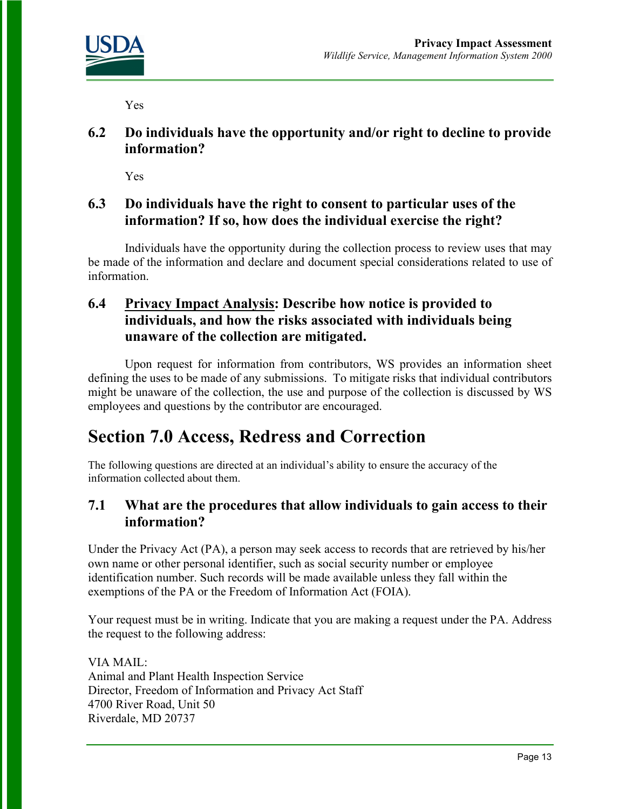

Yes

**6.2 Do individuals have the opportunity and/or right to decline to provide information?** 

Yes

### **6.3 Do individuals have the right to consent to particular uses of the information? If so, how does the individual exercise the right?**

Individuals have the opportunity during the collection process to review uses that may be made of the information and declare and document special considerations related to use of information.

### **6.4 Privacy Impact Analysis: Describe how notice is provided to individuals, and how the risks associated with individuals being unaware of the collection are mitigated.**

Upon request for information from contributors, WS provides an information sheet defining the uses to be made of any submissions. To mitigate risks that individual contributors might be unaware of the collection, the use and purpose of the collection is discussed by WS employees and questions by the contributor are encouraged.

# **Section 7.0 Access, Redress and Correction**

The following questions are directed at an individual's ability to ensure the accuracy of the information collected about them.

### **7.1 What are the procedures that allow individuals to gain access to their information?**

Under the Privacy Act (PA), a person may seek access to records that are retrieved by his/her own name or other personal identifier, such as social security number or employee identification number. Such records will be made available unless they fall within the exemptions of the PA or the Freedom of Information Act (FOIA).

Your request must be in writing. Indicate that you are making a request under the PA. Address the request to the following address:

VIA MAIL: Animal and Plant Health Inspection Service Director, Freedom of Information and Privacy Act Staff 4700 River Road, Unit 50 Riverdale, MD 20737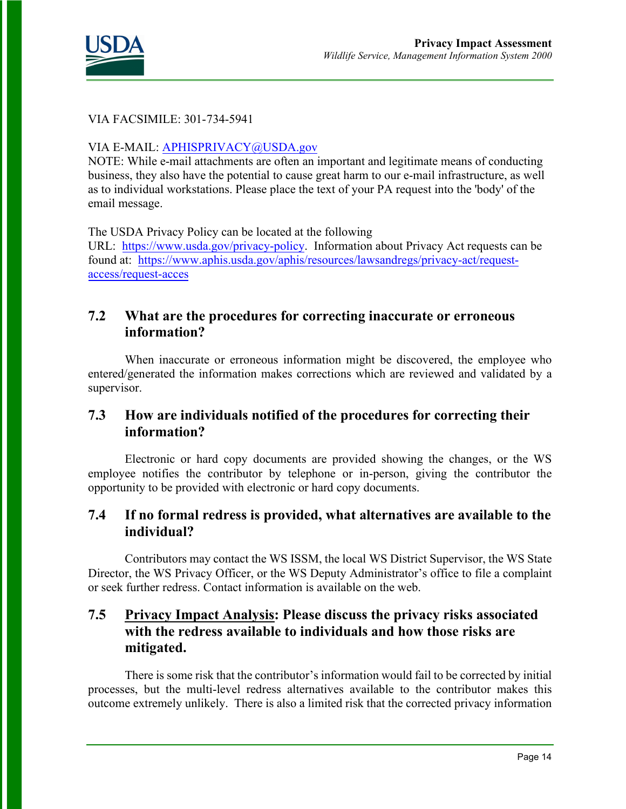

#### VIA FACSIMILE: 301-734-5941

#### VIA E-MAIL: [APHISPRIVACY@USDA.gov](mailto:APHISPRIVACY@USDA.gov)

NOTE: While e-mail attachments are often an important and legitimate means of conducting business, they also have the potential to cause great harm to our e-mail infrastructure, as well as to individual workstations. Please place the text of your PA request into the 'body' of the email message.

The USDA Privacy Policy can be located at the following

URL: [https://www.usda.gov/privacy-policy.](https://www.usda.gov/privacy-policy) Information about Privacy Act requests can be found at: [https://www.aphis.usda.gov/aphis/resources/lawsandregs/privacy-act/request](https://www.aphis.usda.gov/aphis/resources/lawsandregs/privacy-act/request-access/request-acces)[access/request-acces](https://www.aphis.usda.gov/aphis/resources/lawsandregs/privacy-act/request-access/request-acces)

### **7.2 What are the procedures for correcting inaccurate or erroneous information?**

When inaccurate or erroneous information might be discovered, the employee who entered/generated the information makes corrections which are reviewed and validated by a supervisor.

### **7.3 How are individuals notified of the procedures for correcting their information?**

Electronic or hard copy documents are provided showing the changes, or the WS employee notifies the contributor by telephone or in-person, giving the contributor the opportunity to be provided with electronic or hard copy documents.

### **7.4 If no formal redress is provided, what alternatives are available to the individual?**

Contributors may contact the WS ISSM, the local WS District Supervisor, the WS State Director, the WS Privacy Officer, or the WS Deputy Administrator's office to file a complaint or seek further redress. Contact information is available on the web.

### **7.5 Privacy Impact Analysis: Please discuss the privacy risks associated with the redress available to individuals and how those risks are mitigated.**

There is some risk that the contributor's information would fail to be corrected by initial processes, but the multi-level redress alternatives available to the contributor makes this outcome extremely unlikely. There is also a limited risk that the corrected privacy information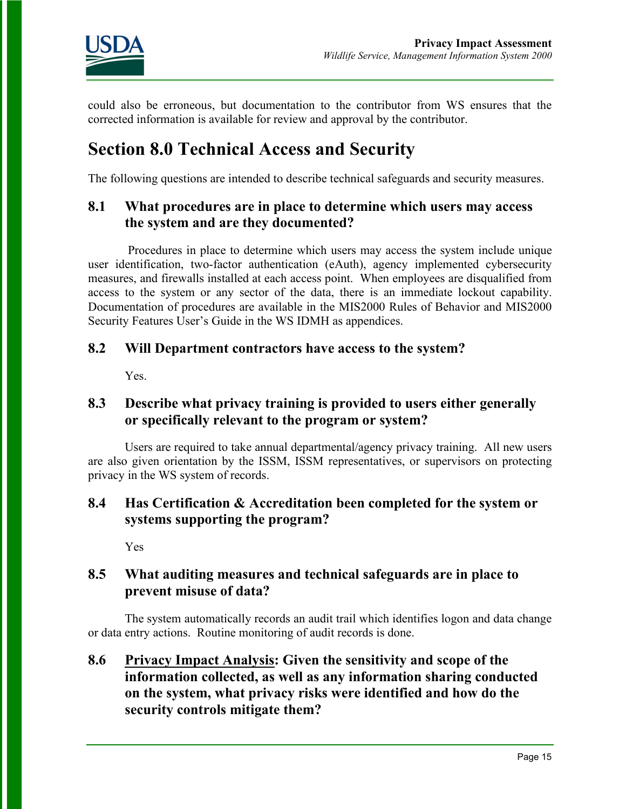

could also be erroneous, but documentation to the contributor from WS ensures that the corrected information is available for review and approval by the contributor.

# **Section 8.0 Technical Access and Security**

The following questions are intended to describe technical safeguards and security measures.

### **8.1 What procedures are in place to determine which users may access the system and are they documented?**

Procedures in place to determine which users may access the system include unique user identification, two-factor authentication (eAuth), agency implemented cybersecurity measures, and firewalls installed at each access point. When employees are disqualified from access to the system or any sector of the data, there is an immediate lockout capability. Documentation of procedures are available in the MIS2000 Rules of Behavior and MIS2000 Security Features User's Guide in the WS IDMH as appendices.

### **8.2 Will Department contractors have access to the system?**

Yes.

### **8.3 Describe what privacy training is provided to users either generally or specifically relevant to the program or system?**

Users are required to take annual departmental/agency privacy training. All new users are also given orientation by the ISSM, ISSM representatives, or supervisors on protecting privacy in the WS system of records.

### **8.4 Has Certification & Accreditation been completed for the system or systems supporting the program?**

Yes

### **8.5 What auditing measures and technical safeguards are in place to prevent misuse of data?**

The system automatically records an audit trail which identifies logon and data change or data entry actions. Routine monitoring of audit records is done.

### **8.6 Privacy Impact Analysis: Given the sensitivity and scope of the information collected, as well as any information sharing conducted on the system, what privacy risks were identified and how do the security controls mitigate them?**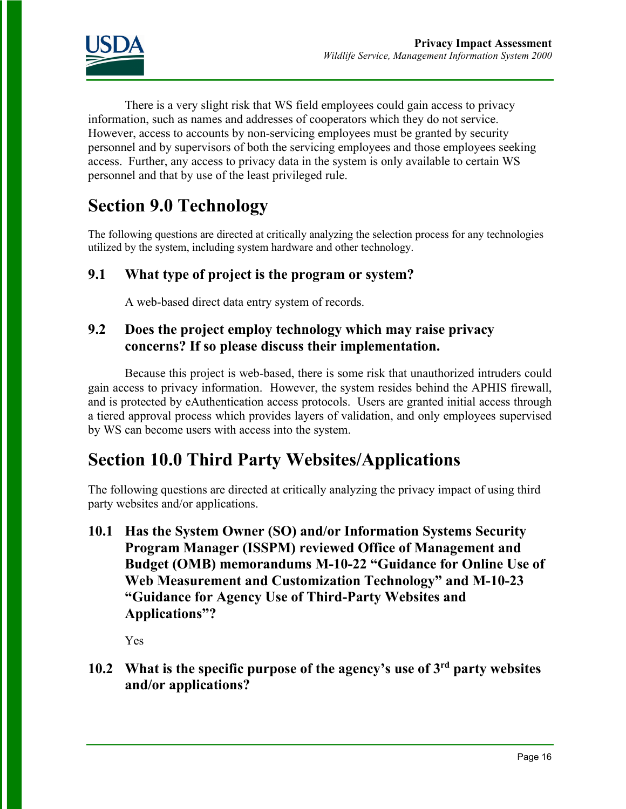

There is a very slight risk that WS field employees could gain access to privacy information, such as names and addresses of cooperators which they do not service. However, access to accounts by non-servicing employees must be granted by security personnel and by supervisors of both the servicing employees and those employees seeking access. Further, any access to privacy data in the system is only available to certain WS personnel and that by use of the least privileged rule.

# **Section 9.0 Technology**

The following questions are directed at critically analyzing the selection process for any technologies utilized by the system, including system hardware and other technology.

### **9.1 What type of project is the program or system?**

A web-based direct data entry system of records.

### **9.2 Does the project employ technology which may raise privacy concerns? If so please discuss their implementation.**

Because this project is web-based, there is some risk that unauthorized intruders could gain access to privacy information. However, the system resides behind the APHIS firewall, and is protected by eAuthentication access protocols. Users are granted initial access through a tiered approval process which provides layers of validation, and only employees supervised by WS can become users with access into the system.

# **Section 10.0 Third Party Websites/Applications**

The following questions are directed at critically analyzing the privacy impact of using third party websites and/or applications.

**10.1 Has the System Owner (SO) and/or Information Systems Security Program Manager (ISSPM) reviewed Office of Management and Budget (OMB) memorandums M-10-22 "Guidance for Online Use of Web Measurement and Customization Technology" and M-10-23 "Guidance for Agency Use of Third-Party Websites and Applications"?**

Yes

**10.2 What is the specific purpose of the agency's use of 3rd party websites and/or applications?**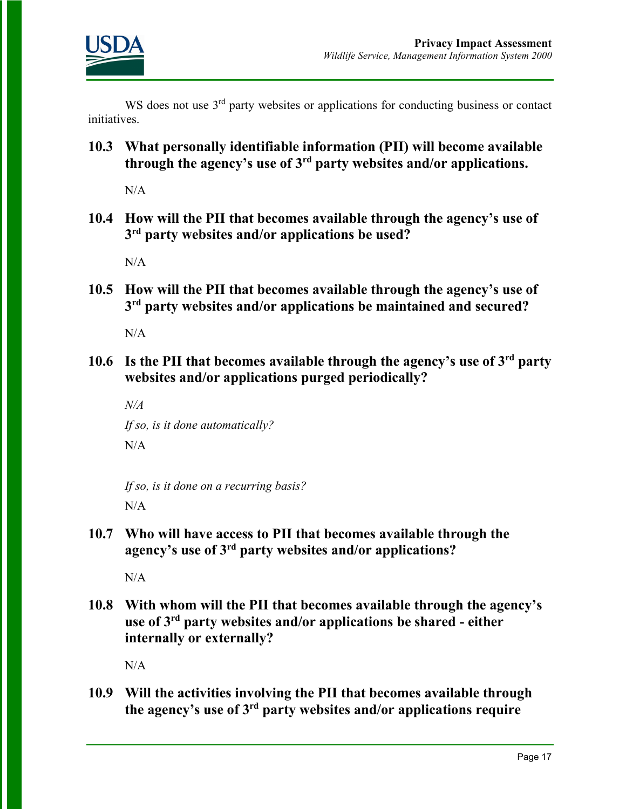

WS does not use 3<sup>rd</sup> party websites or applications for conducting business or contact initiatives.

**10.3 What personally identifiable information (PII) will become available through the agency's use of 3rd party websites and/or applications.**

 $N/A$ 

**10.4 How will the PII that becomes available through the agency's use of 3rd party websites and/or applications be used?**

 $N/A$ 

**10.5 How will the PII that becomes available through the agency's use of 3rd party websites and/or applications be maintained and secured?**

 $N/A$ 

**10.6 Is the PII that becomes available through the agency's use of 3rd party websites and/or applications purged periodically?** 

*N/A If so, is it done automatically?*   $N/A$ 

*If so, is it done on a recurring basis?*   $N/A$ 

**10.7 Who will have access to PII that becomes available through the agency's use of 3rd party websites and/or applications?**

N/A

**10.8 With whom will the PII that becomes available through the agency's use of 3rd party websites and/or applications be shared - either internally or externally?**

N/A

**10.9 Will the activities involving the PII that becomes available through the agency's use of 3rd party websites and/or applications require**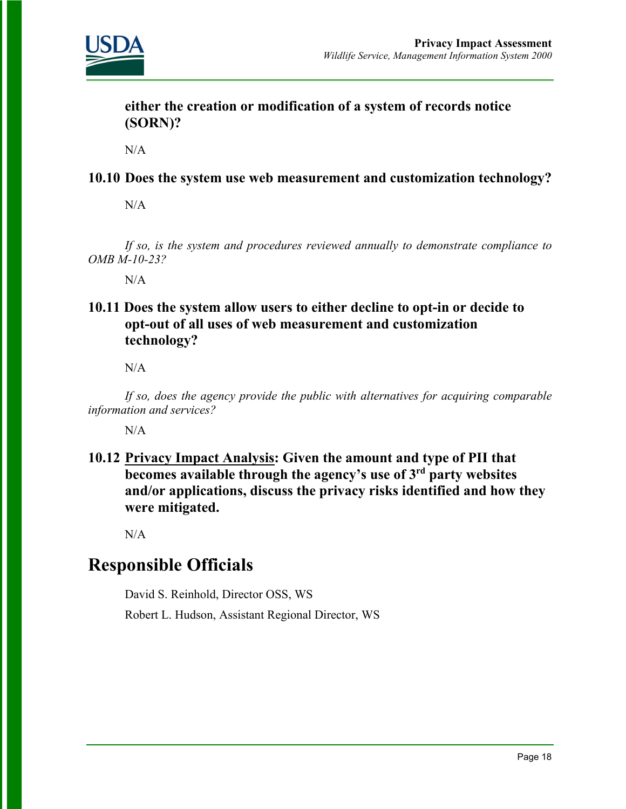

**either the creation or modification of a system of records notice (SORN)?** 

 $N/A$ 

### **10.10 Does the system use web measurement and customization technology?**

N/A

*If so, is the system and procedures reviewed annually to demonstrate compliance to OMB M-10-23?* 

 $N/A$ 

**10.11 Does the system allow users to either decline to opt-in or decide to opt-out of all uses of web measurement and customization technology?**

N/A

*If so, does the agency provide the public with alternatives for acquiring comparable information and services?* 

 $N/A$ 

**10.12 Privacy Impact Analysis: Given the amount and type of PII that becomes available through the agency's use of 3rd party websites and/or applications, discuss the privacy risks identified and how they were mitigated.** 

 $N/A$ 

### **Responsible Officials**

David S. Reinhold, Director OSS, WS

Robert L. Hudson, Assistant Regional Director, WS